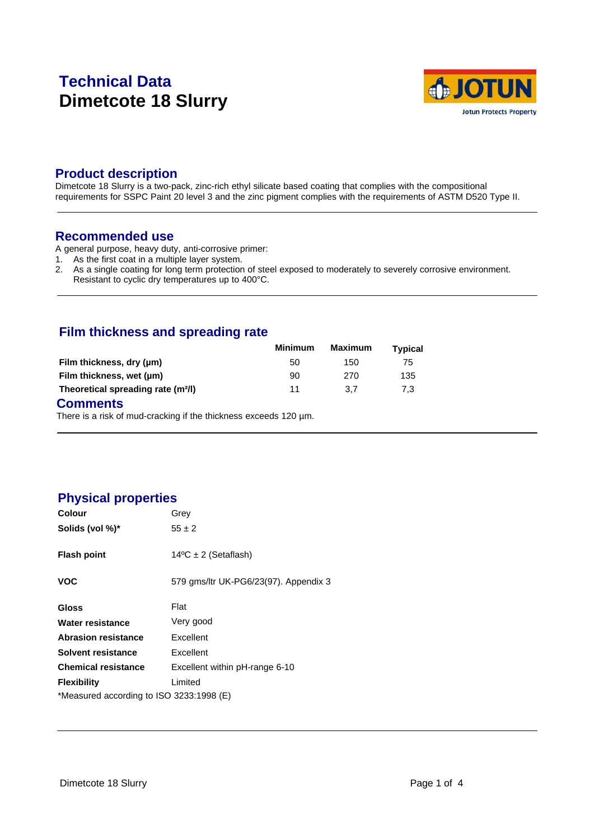# **Technical Data Dimetcote 18 Slurry**



### **Product description**

Dimetcote 18 Slurry is a two-pack, zinc-rich ethyl silicate based coating that complies with the compositional requirements for SSPC Paint 20 level 3 and the zinc pigment complies with the requirements of ASTM D520 Type II.

#### **Recommended use**

A general purpose, heavy duty, anti-corrosive primer:

- 1. As the first coat in a multiple layer system.
- 2. As a single coating for long term protection of steel exposed to moderately to severely corrosive environment.
	- Resistant to cyclic dry temperatures up to 400°C.

### **Film thickness and spreading rate**

|                                                | Minimum | Maximum | Typical |
|------------------------------------------------|---------|---------|---------|
| Film thickness, dry (µm)                       | 50      | 150     | 75      |
| Film thickness, wet (µm)                       | 90      | 270     | 135     |
| Theoretical spreading rate (m <sup>2</sup> /l) | 11      | 3.7     | 7.3     |

#### **Comments**

There is a risk of mud-cracking if the thickness exceeds 120 µm.

### **Physical properties**

| <b>Colour</b>                            | Grey                                  |  |  |  |
|------------------------------------------|---------------------------------------|--|--|--|
| Solids (vol %)*                          | $55 \pm 2$                            |  |  |  |
| <b>Flash point</b>                       | $14^{\circ}$ C ± 2 (Setaflash)        |  |  |  |
| VOC                                      | 579 gms/ltr UK-PG6/23(97). Appendix 3 |  |  |  |
| Gloss                                    | Flat                                  |  |  |  |
| Water resistance                         | Very good                             |  |  |  |
| <b>Abrasion resistance</b>               | Excellent                             |  |  |  |
| Solvent resistance                       | Excellent                             |  |  |  |
| <b>Chemical resistance</b>               | Excellent within pH-range 6-10        |  |  |  |
| <b>Flexibility</b>                       | Limited                               |  |  |  |
| *Measured according to ISO 3233:1998 (E) |                                       |  |  |  |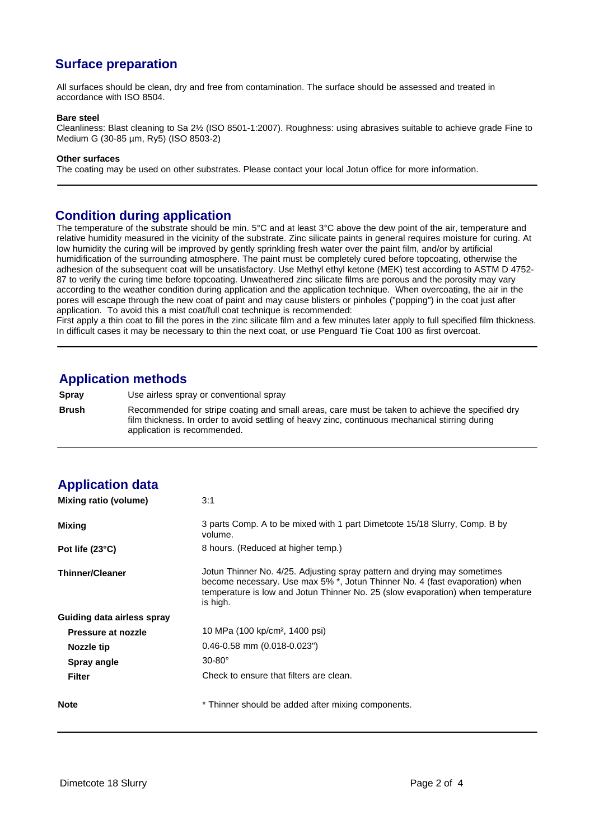# **Surface preparation**

All surfaces should be clean, dry and free from contamination. The surface should be assessed and treated in accordance with ISO 8504.

#### **Bare steel**

Cleanliness: Blast cleaning to Sa 2½ (ISO 8501-1:2007). Roughness: using abrasives suitable to achieve grade Fine to Medium G (30-85 µm, Ry5) (ISO 8503-2)

#### **Other surfaces**

The coating may be used on other substrates. Please contact your local Jotun office for more information.

#### **Condition during application**

The temperature of the substrate should be min. 5°C and at least 3°C above the dew point of the air, temperature and relative humidity measured in the vicinity of the substrate. Zinc silicate paints in general requires moisture for curing. At low humidity the curing will be improved by gently sprinkling fresh water over the paint film, and/or by artificial humidification of the surrounding atmosphere. The paint must be completely cured before topcoating, otherwise the adhesion of the subsequent coat will be unsatisfactory. Use Methyl ethyl ketone (MEK) test according to ASTM D 4752- 87 to verify the curing time before topcoating. Unweathered zinc silicate films are porous and the porosity may vary according to the weather condition during application and the application technique. When overcoating, the air in the pores will escape through the new coat of paint and may cause blisters or pinholes ("popping") in the coat just after application. To avoid this a mist coat/full coat technique is recommended:

First apply a thin coat to fill the pores in the zinc silicate film and a few minutes later apply to full specified film thickness. In difficult cases it may be necessary to thin the next coat, or use Penguard Tie Coat 100 as first overcoat.

### **Application methods**

**Spray** Use airless spray or conventional spray **Brush** Recommended for stripe coating and small areas, care must be taken to achieve the specified dry film thickness. In order to avoid settling of heavy zinc, continuous mechanical stirring during application is recommended.

| <b>Application data</b>    |                                                                                                                                                                                                                                                        |
|----------------------------|--------------------------------------------------------------------------------------------------------------------------------------------------------------------------------------------------------------------------------------------------------|
| Mixing ratio (volume)      | 3:1                                                                                                                                                                                                                                                    |
| Mixing                     | 3 parts Comp. A to be mixed with 1 part Dimetcote 15/18 Slurry, Comp. B by<br>volume.                                                                                                                                                                  |
| Pot life (23°C)            | 8 hours. (Reduced at higher temp.)                                                                                                                                                                                                                     |
| <b>Thinner/Cleaner</b>     | Jotun Thinner No. 4/25. Adjusting spray pattern and drying may sometimes<br>become necessary. Use max 5% *, Jotun Thinner No. 4 (fast evaporation) when<br>temperature is low and Jotun Thinner No. 25 (slow evaporation) when temperature<br>is high. |
| Guiding data airless spray |                                                                                                                                                                                                                                                        |
| Pressure at nozzle         | 10 MPa (100 kp/cm <sup>2</sup> , 1400 psi)                                                                                                                                                                                                             |
| Nozzle tip                 | $0.46 - 0.58$ mm $(0.018 - 0.023")$                                                                                                                                                                                                                    |
| <b>Spray angle</b>         | $30-80^\circ$                                                                                                                                                                                                                                          |
| <b>Filter</b>              | Check to ensure that filters are clean.                                                                                                                                                                                                                |
| <b>Note</b>                | * Thinner should be added after mixing components.                                                                                                                                                                                                     |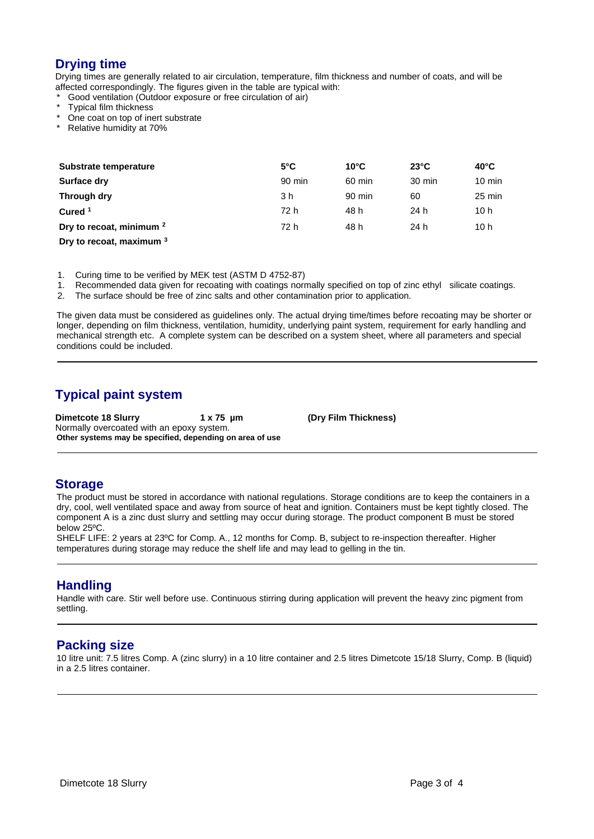# **Drying time**

Drying times are generally related to air circulation, temperature, film thickness and number of coats, and will be affected correspondingly. The figures given in the table are typical with:

Good ventilation (Outdoor exposure or free circulation of air)

- Typical film thickness
- One coat on top of inert substrate
- Relative humidity at 70%

| Substrate temperature               | $5^{\circ}$ C | $10^{\circ}$ C | $23^{\circ}$ C | $40^{\circ}$ C   |
|-------------------------------------|---------------|----------------|----------------|------------------|
|                                     |               |                |                |                  |
| Surface dry                         | 90 min        | 60 min         | 30 min         | $10 \text{ min}$ |
| Through dry                         | 3 h           | 90 min         | 60             | $25 \text{ min}$ |
| Cured <sup>1</sup>                  | 72 h          | 48 h           | 24 h           | 10 h             |
| Dry to recoat, minimum <sup>2</sup> | 72 h          | 48 h           | 24 h           | 10h              |
| <b>Profile 1999</b>                 |               |                |                |                  |

**Dry to recoat, maximum <sup>3</sup>**

1. Curing time to be verified by MEK test (ASTM D 4752-87)

1. Recommended data given for recoating with coatings normally specified on top of zinc ethyl silicate coatings.

2. The surface should be free of zinc salts and other contamination prior to application.

The given data must be considered as guidelines only. The actual drying time/times before recoating may be shorter or longer, depending on film thickness, ventilation, humidity, underlying paint system, requirement for early handling and mechanical strength etc. A complete system can be described on a system sheet, where all parameters and special conditions could be included.

# **Typical paint system**

**Dimetcote 18 Slurry 1 x 75 µm (Dry Film Thickness)**  Normally overcoated with an epoxy system. **Other systems may be specified, depending on area of use**

#### **Storage**

The product must be stored in accordance with national regulations. Storage conditions are to keep the containers in a dry, cool, well ventilated space and away from source of heat and ignition. Containers must be kept tightly closed. The component A is a zinc dust slurry and settling may occur during storage. The product component B must be stored below 25ºC.

SHELF LIFE: 2 years at 23ºC for Comp. A., 12 months for Comp. B, subject to re-inspection thereafter. Higher temperatures during storage may reduce the shelf life and may lead to gelling in the tin.

#### **Handling**

Handle with care. Stir well before use. Continuous stirring during application will prevent the heavy zinc pigment from settling.

#### **Packing size**

10 litre unit: 7.5 litres Comp. A (zinc slurry) in a 10 litre container and 2.5 litres Dimetcote 15/18 Slurry, Comp. B (liquid) in a 2.5 litres container.